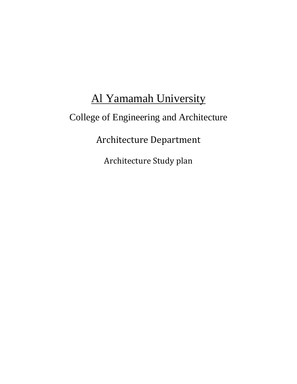# Al Yamamah University College of Engineering and Architecture Architecture Department Architecture Study plan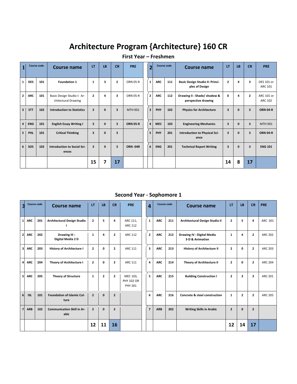# **Architecture Program {Architecture} 160 CR**

|  |  | First Year - Freshmen |  |
|--|--|-----------------------|--|
|--|--|-----------------------|--|

|                         |            | <b>Course code</b> | Course name                                       | LT                      | LB           | <b>CR</b>               | <b>PRE</b>      | 2                       |            | <b>Course code</b> | Course name                                        | LT                      | LB           | <b>CR</b>    | <b>PRE</b>                   |
|-------------------------|------------|--------------------|---------------------------------------------------|-------------------------|--------------|-------------------------|-----------------|-------------------------|------------|--------------------|----------------------------------------------------|-------------------------|--------------|--------------|------------------------------|
| $\mathbf{1}$            | <b>DES</b> | 101                | <b>Foundation 1</b>                               | $\mathbf{1}$            | 3            | $\overline{2}$          | <b>ORN 05-R</b> | $\mathbf{1}$            | <b>ARC</b> | 111                | Basic Design Studio II: Princi-<br>ples of Design  | $\overline{2}$          | 4            | 3            | DES 101 or<br>ARC 101        |
| $\mathbf{2}$            | <b>ARC</b> | 101                | Basic Design Studio I: Ar-<br>chitectural Drawing | $\mathbf{2}$            | 4            | 3                       | <b>ORN 05-R</b> | $\overline{2}$          | <b>ARC</b> | 112                | Drawing II: Shade/ shadow &<br>perspective drawing | 0                       | 4            | $\mathbf{2}$ | ARC 101 or<br><b>ARC 102</b> |
| $\overline{\mathbf{3}}$ | <b>STT</b> | 102                | <b>Introduction to Statistics</b>                 | 3                       | $\mathbf{0}$ | 3                       | MTH 001         | $\overline{\mathbf{3}}$ | PHY        | 102                | <b>Physics for Architecture</b>                    | 3                       | $\mathbf{0}$ | 3            | <b>ORN 04-R</b>              |
| $\overline{4}$          | <b>ENG</b> | 101                | <b>English Essay Writing I</b>                    | $\overline{\mathbf{3}}$ | $\mathbf{0}$ | $\overline{\mathbf{3}}$ | <b>ORN 05-R</b> | 4                       | <b>MEC</b> | 103                | <b>Engineering Mechanics</b>                       | $\overline{\mathbf{3}}$ | $\mathbf{0}$ | 3            | <b>MTH 001</b>               |
| 5                       | PHI.       | 101                | <b>Critical Thinking</b>                          | $\overline{\mathbf{3}}$ | $\mathbf 0$  | $\overline{\mathbf{3}}$ |                 | 5                       | PHY        | 201                | Introduction to Physical Sci-<br>ence              | $\overline{\mathbf{3}}$ | $\mathbf{0}$ | 3            | <b>ORN 04-R</b>              |
| 6                       | SOS        | 102                | Introduction to Social Sci-<br>ences              | 3                       | $\mathbf{0}$ | $\overline{\mathbf{3}}$ | <b>ORN-04R</b>  | 6                       | <b>ENG</b> | 201                | <b>Technical Report Writing</b>                    | $\overline{\mathbf{3}}$ | $\mathbf{0}$ | 3            | <b>ENG 101</b>               |
|                         |            |                    |                                                   | 15                      | 7            | 17                      |                 |                         |            |                    |                                                    | 14                      | 8            | 17           |                              |

#### **Second Year - Sophomore 1**

| 3              | <b>Course code</b> |     | <b>Course name</b>                        | LT             | LB           | <b>CR</b>      | <b>PRE</b>                                      | 4                       | <b>Course code</b> |     | <b>Course name</b>                            |                | LB             | <b>CR</b>      | <b>PRE</b>     |
|----------------|--------------------|-----|-------------------------------------------|----------------|--------------|----------------|-------------------------------------------------|-------------------------|--------------------|-----|-----------------------------------------------|----------------|----------------|----------------|----------------|
| 1 <sup>1</sup> | <b>ARC</b>         | 201 | <b>Architectural Design Studio</b>        | $\overline{2}$ | 5            | 4              | ARC 111,<br><b>ARC 112</b>                      | $\mathbf{1}$            | <b>ARC</b>         | 211 | Architectural Design Studio II                | $\overline{2}$ | 5              | 4              | ARC 201        |
| 2 <sub>1</sub> | <b>ARC</b>         | 202 | Drawing III:<br>Digital Media 2D          | $\mathbf{1}$   | 4            | $\overline{2}$ | <b>ARC 112</b>                                  | $\overline{2}$          | <b>ARC</b>         | 212 | Drawing IV : Digital Media<br>3-D & Animation | $\mathbf{1}$   | 4              | $\mathbf{2}$   | <b>ARC 202</b> |
| 3 <sup>1</sup> | <b>ARC</b>         | 203 | <b>History of Architecture I</b>          | $\overline{2}$ | 0            | $\overline{2}$ | ARC 111                                         | $\overline{\mathbf{3}}$ | <b>ARC</b>         | 213 | <b>History of Architecture II</b>             | $\overline{2}$ | 0              | $\mathbf{2}$   | <b>ARC 203</b> |
| $\overline{4}$ | <b>ARC</b>         | 204 | <b>Theory of Architecture I</b>           | $\overline{2}$ | 0            | $\overline{2}$ | <b>ARC 111</b>                                  | 4                       | <b>ARC</b>         | 214 | Theory of Architecture II                     | $\overline{2}$ | 0              | $\mathbf{2}$   | <b>ARC 204</b> |
| 5              | <b>ARC</b>         | 205 | <b>Theory of Structure</b>                | $\mathbf{1}$   | $\mathbf{2}$ | $\overline{2}$ | MEC 103,<br><b>PHY 102 OR</b><br><b>PHY 201</b> | 5                       | <b>ARC</b>         | 215 | <b>Building Construction I</b>                | $\overline{2}$ | 3              | 3              | <b>ARC 201</b> |
| 6 <sup>1</sup> | <b>ISL</b>         | 101 | <b>Foundation of Islamic Cul-</b><br>ture | $\overline{2}$ | $\mathbf{0}$ | $\overline{2}$ |                                                 | 6                       | <b>ARC</b>         | 216 | <b>Concrete &amp; steel construction</b>      | $\mathbf{1}$   | $\overline{2}$ | $\mathbf{2}$   | <b>ARC 205</b> |
| $\overline{7}$ | <b>ARB</b>         | 102 | <b>Communication Skill in Ar-</b><br>abic | $\overline{2}$ | $\mathbf{0}$ | $\overline{2}$ |                                                 | $\overline{7}$          | <b>ARB</b>         | 202 | <b>Writing Skills in Arabic</b>               | $\overline{2}$ | $\mathbf{0}$   | $\overline{2}$ |                |
|                |                    |     |                                           | 12             | 11           | 16             |                                                 |                         |                    |     |                                               | 12             | 14             | 17             |                |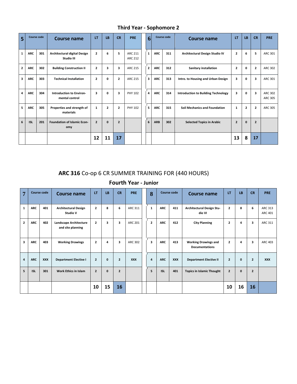| 5              |            | <b>Course code</b> | Course name                                | LT                      | <b>LB</b>      | <b>CR</b>               | <b>PRE</b>                | O                                 | <b>Course code</b> |     | Course name                                |                | <b>LB</b>      | <b>CR</b>      | <b>PRE</b>         |
|----------------|------------|--------------------|--------------------------------------------|-------------------------|----------------|-------------------------|---------------------------|-----------------------------------|--------------------|-----|--------------------------------------------|----------------|----------------|----------------|--------------------|
| $\mathbf{1}$   | <b>ARC</b> | 301                | Architectural digital Design<br>Studio III | $\overline{2}$          | 6              | 5                       | ARC 211<br><b>ARC 212</b> | <b>ARC</b><br>311<br>$\mathbf{1}$ |                    |     | Architectural Design Studio IV             | $\mathbf{2}$   | 6              | 5              | ARC 301            |
| $\overline{2}$ | <b>ARC</b> | 302                | <b>Building Construction II</b>            | $\overline{2}$          | 3              | $\overline{\mathbf{3}}$ | <b>ARC 215</b>            | $\overline{2}$                    | <b>ARC</b>         | 312 | Sanitary installation                      | $\overline{2}$ | 0              | $\overline{2}$ | ARC 302            |
| 3              | ARC        | 303                | <b>Technical Installation</b>              | $\overline{2}$          | 0              | $\overline{2}$          | <b>ARC 215</b>            | $\overline{\mathbf{3}}$           | <b>ARC</b>         | 313 | Intro. to Housing and Urban Design         | 3              | 0              | 3              | ARC 301            |
| 4              | <b>ARC</b> | 304                | Introduction to Environ-<br>mental control | $\overline{\mathbf{3}}$ | 0              | 3                       | PHY 102                   | 4                                 | <b>ARC</b>         | 314 | <b>Introduction to Building Technology</b> | 3              | $\mathbf{0}$   | 3              | ARC 302<br>ARC 305 |
| 5              | <b>ARC</b> | 305                | Properties and strength of<br>materials    | $\mathbf{1}$            | $\overline{2}$ | $\overline{2}$          | PHY 102                   | 5                                 | <b>ARC</b>         | 315 | <b>Soil Mechanics and Foundation</b>       | $\mathbf{1}$   | $\overline{2}$ | $\overline{2}$ | ARC 305            |
| 6              | <b>ISL</b> | 201                | <b>Foundation of Islamic Econ-</b><br>omy  | $\overline{2}$          | $\mathbf{0}$   | $\overline{2}$          |                           | 6                                 | <b>ARB</b><br>302  |     | <b>Selected Topics in Arabic</b>           | $\overline{2}$ | $\mathbf{0}$   | $\overline{2}$ |                    |
|                |            |                    |                                            | 12                      | 11             | 17                      |                           |                                   |                    |     |                                            | 13             | 8              | 17             |                    |

**Third Year - Sophomore 2**

### **ARC 316** Co-op 6 CR SUMMER TRAINING FOR (440 HOURS)

## **Fourth Year - Junior**

| 7              |            | <b>Course code</b> | <b>Course name</b>                          | LT             | LB           | <b>CR</b>      | <b>PRE</b>     | 8              |            | Course code | <b>Course name</b>                                   | LT             | LB           | <b>CR</b>               | <b>PRE</b>                |
|----------------|------------|--------------------|---------------------------------------------|----------------|--------------|----------------|----------------|----------------|------------|-------------|------------------------------------------------------|----------------|--------------|-------------------------|---------------------------|
| $\mathbf{1}$   | <b>ARC</b> | 401                | <b>Architectural Design</b><br>Studio V     | $\overline{2}$ | 8            | 6              | ARC 311        | $\mathbf{1}$   | <b>ARC</b> | 411         | Architectural Design Stu-<br>dio VI                  | $\overline{2}$ | 8            | 6                       | <b>ARC 313</b><br>ARC 401 |
| $\overline{2}$ | <b>ARC</b> | 402                | Landscape Architecture<br>and site planning | $\overline{2}$ | 3            | 3              | <b>ARC 201</b> | $\overline{2}$ | <b>ARC</b> | 412         | <b>City Planning</b>                                 | $\mathbf{z}$   | 4            | 3                       | ARC 311                   |
| 3              | <b>ARC</b> | 403                | <b>Working Drawings</b>                     | $\overline{2}$ | 4            | 3              | <b>ARC 302</b> | 3              | <b>ARC</b> | 413         | <b>Working Drawings and</b><br><b>Documentations</b> | $\overline{2}$ | 4            | $\overline{\mathbf{3}}$ | ARC 403                   |
| $\overline{4}$ | <b>ARC</b> | <b>XXX</b>         | <b>Department Elective I</b>                | $\overline{2}$ | $\mathbf{0}$ | $\overline{2}$ | <b>XXX</b>     | 4              | <b>ARC</b> | <b>XXX</b>  | <b>Department Elective II</b>                        | $\overline{2}$ | $\mathbf 0$  | $\overline{2}$          | <b>XXX</b>                |
| 5              | <b>ISL</b> | 301                | <b>Work Ethics in Islam</b>                 | $\overline{2}$ | $\mathbf{0}$ | $\overline{2}$ |                | 5              | <b>ISL</b> | 401         | <b>Topics in Islamic Thought</b>                     | $\overline{2}$ | $\mathbf{0}$ | $\overline{2}$          |                           |
|                |            |                    |                                             | 10             | 15           | 16             |                |                |            |             |                                                      | 10             | 16           | 16                      |                           |